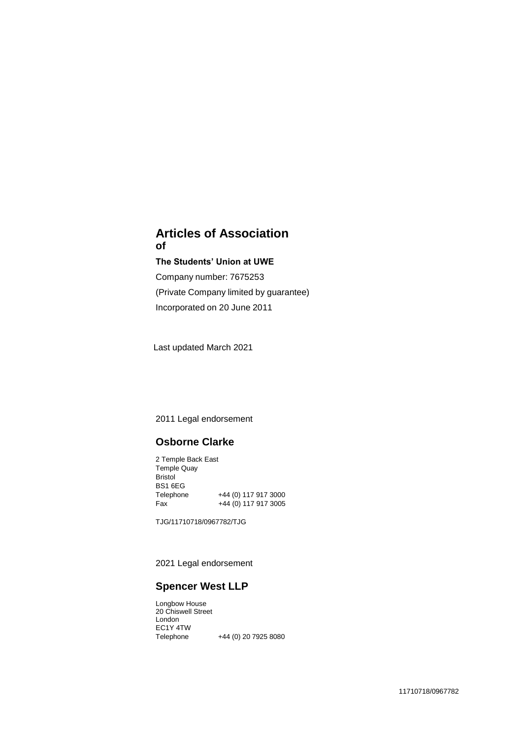# **Articles of Association of**

## **The Students' Union at UWE**

Company number: 7675253 (Private Company limited by guarantee) Incorporated on 20 June 2011

Last updated March 2021

2011 Legal endorsement

# **Osborne Clarke**

2 Temple Back East Temple Quay Bristol BS1 6EG<br>Telephone +44 (0) 117 917 3000 Fax +44 (0) 117 917 3005

TJG/11710718/0967782/TJG

2021 Legal endorsement

# **Spencer West LLP**

Longbow House 20 Chiswell Street London EC1Y 4TW +44 (0) 20 7925 8080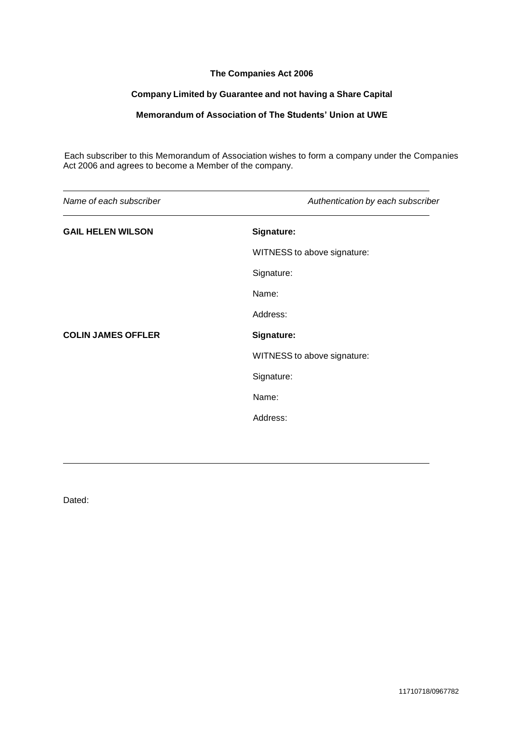## **The Companies Act 2006**

## **Company Limited by Guarantee and not having a Share Capital**

## **Memorandum of Association of The Students' Union at UWE**

Each subscriber to this Memorandum of Association wishes to form a company under the Companies Act 2006 and agrees to become a Member of the company.

| Name of each subscriber   | Authentication by each subscriber |
|---------------------------|-----------------------------------|
| <b>GAIL HELEN WILSON</b>  | Signature:                        |
|                           | WITNESS to above signature:       |
|                           | Signature:                        |
|                           | Name:                             |
|                           | Address:                          |
| <b>COLIN JAMES OFFLER</b> | Signature:                        |
|                           | WITNESS to above signature:       |
|                           | Signature:                        |
|                           | Name:                             |
|                           | Address:                          |
|                           |                                   |

Dated: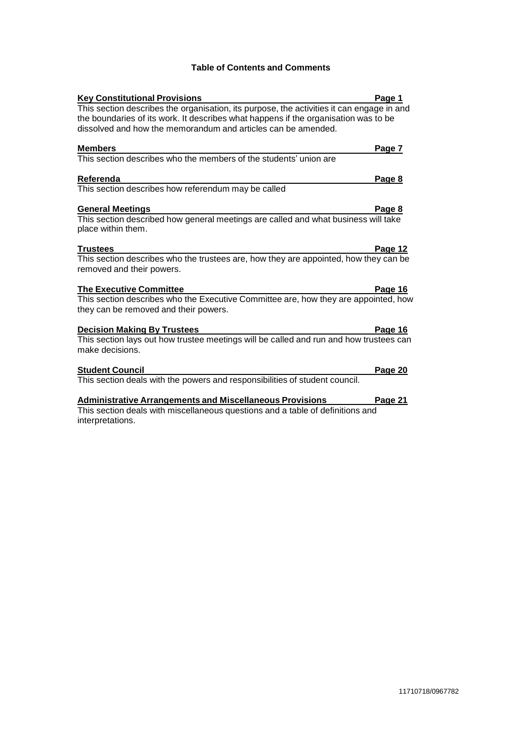## **Table of Contents and Comments**

| <b>Key Constitutional Provisions</b>                                                                  | Page 1  |
|-------------------------------------------------------------------------------------------------------|---------|
| This section describes the organisation, its purpose, the activities it can engage in and             |         |
| the boundaries of its work. It describes what happens if the organisation was to be                   |         |
| dissolved and how the memorandum and articles can be amended.                                         |         |
|                                                                                                       |         |
| <b>Members</b>                                                                                        | Page 7  |
| This section describes who the members of the students' union are                                     |         |
|                                                                                                       |         |
| <b>Referenda</b>                                                                                      | Page 8  |
| This section describes how referendum may be called                                                   |         |
|                                                                                                       |         |
| <b>General Meetings</b>                                                                               | Page 8  |
| This section described how general meetings are called and what business will take                    |         |
| place within them.                                                                                    |         |
|                                                                                                       |         |
| <b>Trustees</b>                                                                                       | Page 12 |
| This section describes who the trustees are, how they are appointed, how they can be                  |         |
| removed and their powers.                                                                             |         |
|                                                                                                       |         |
| <b>The Executive Committee</b>                                                                        | Page 16 |
| This section describes who the Executive Committee are, how they are appointed, how                   |         |
| they can be removed and their powers.                                                                 |         |
|                                                                                                       |         |
| <b>Decision Making By Trustees</b>                                                                    | Page 16 |
| This section lays out how trustee meetings will be called and run and how trustees can                |         |
| make decisions.                                                                                       |         |
|                                                                                                       |         |
| <b>Student Council</b><br>This section deals with the powers and responsibilities of student council. | Page 20 |
|                                                                                                       |         |

#### **[Administrative](#page-23-0) Arrangements and Miscellaneous Provisions Page 21**

This section deals with miscellaneous questions and a table of definitions and interpretations.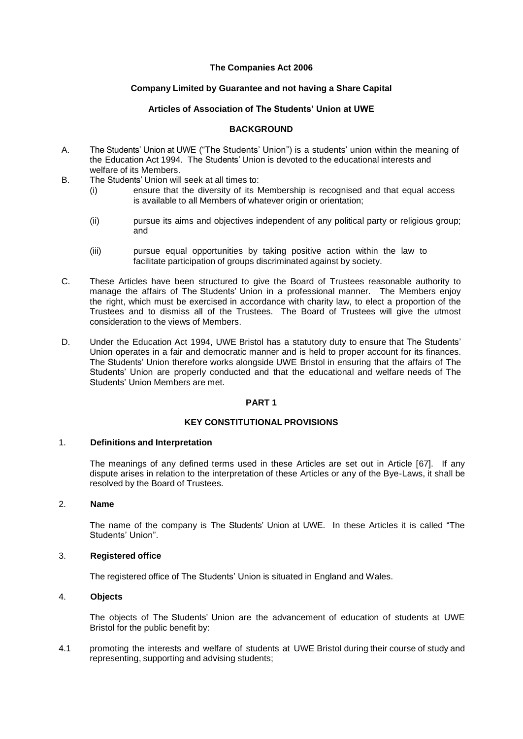## **The Companies Act 2006**

## **Company Limited by Guarantee and not having a Share Capital**

## **Articles of Association of The Students' Union at UWE**

## **BACKGROUND**

- A. The Students' Union at UWE ("The Students' Union") is a students' union within the meaning of the Education Act 1994. The Students' Union is devoted to the educational interests and welfare of its Members.
- B. The Students' Union will seek at all times to:
	- (i) ensure that the diversity of its Membership is recognised and that equal access is available to all Members of whatever origin or orientation;
	- (ii) pursue its aims and objectives independent of any political party or religious group; and
	- (iii) pursue equal opportunities by taking positive action within the law to facilitate participation of groups discriminated against by society.
- C. These Articles have been structured to give the Board of Trustees reasonable authority to manage the affairs of The Students' Union in a professional manner. The Members enjoy the right, which must be exercised in accordance with charity law, to elect a proportion of the Trustees and to dismiss all of the Trustees. The Board of Trustees will give the utmost consideration to the views of Members.
- D. Under the Education Act 1994, UWE Bristol has a statutory duty to ensure that The Students' Union operates in a fair and democratic manner and is held to proper account for its finances. The Students' Union therefore works alongside UWE Bristol in ensuring that the affairs of The Students' Union are properly conducted and that the educational and welfare needs of The Students' Union Members are met.

### **PART 1**

## **KEY CONSTITUTIONAL PROVISIONS**

#### <span id="page-3-0"></span>1. **Definitions and Interpretation**

The meanings of any defined terms used in these Articles are set out in Article [67]. If any dispute arises in relation to the interpretation of these Articles or any of the Bye-Laws, it shall be resolved by the Board of Trustees.

## 2. **Name**

The name of the company is The Students' Union at UWE. In these Articles it is called "The Students' Union".

#### 3. **Registered office**

The registered office of The Students' Union is situated in England and Wales.

## 4. **Objects**

The objects of The Students' Union are the advancement of education of students at UWE Bristol for the public benefit by:

4.1 promoting the interests and welfare of students at UWE Bristol during their course of study and representing, supporting and advising students;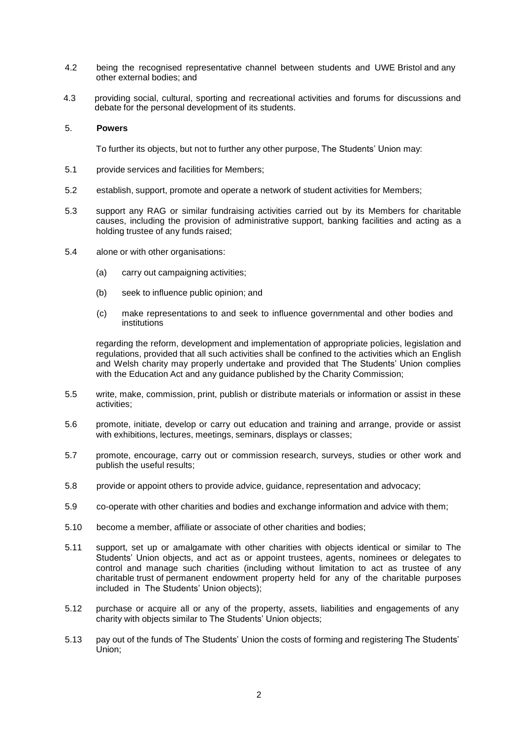- 4.2 being the recognised representative channel between students and UWE Bristol and any other external bodies; and
- 4.3 providing social, cultural, sporting and recreational activities and forums for discussions and debate for the personal development of its students.

### 5. **Powers**

To further its objects, but not to further any other purpose, The Students' Union may:

- 5.1 provide services and facilities for Members;
- 5.2 establish, support, promote and operate a network of student activities for Members;
- 5.3 support any RAG or similar fundraising activities carried out by its Members for charitable causes, including the provision of administrative support, banking facilities and acting as a holding trustee of any funds raised;
- 5.4 alone or with other organisations:
	- (a) carry out campaigning activities;
	- (b) seek to influence public opinion; and
	- (c) make representations to and seek to influence governmental and other bodies and institutions

regarding the reform, development and implementation of appropriate policies, legislation and regulations, provided that all such activities shall be confined to the activities which an English and Welsh charity may properly undertake and provided that The Students' Union complies with the Education Act and any guidance published by the Charity Commission;

- 5.5 write, make, commission, print, publish or distribute materials or information or assist in these activities;
- 5.6 promote, initiate, develop or carry out education and training and arrange, provide or assist with exhibitions, lectures, meetings, seminars, displays or classes;
- 5.7 promote, encourage, carry out or commission research, surveys, studies or other work and publish the useful results;
- 5.8 provide or appoint others to provide advice, guidance, representation and advocacy;
- 5.9 co-operate with other charities and bodies and exchange information and advice with them;
- 5.10 become a member, affiliate or associate of other charities and bodies;
- 5.11 support, set up or amalgamate with other charities with objects identical or similar to The Students' Union objects, and act as or appoint trustees, agents, nominees or delegates to control and manage such charities (including without limitation to act as trustee of any charitable trust of permanent endowment property held for any of the charitable purposes included in The Students' Union objects);
- 5.12 purchase or acquire all or any of the property, assets, liabilities and engagements of any charity with objects similar to The Students' Union objects;
- 5.13 pay out of the funds of The Students' Union the costs of forming and registering The Students' Union;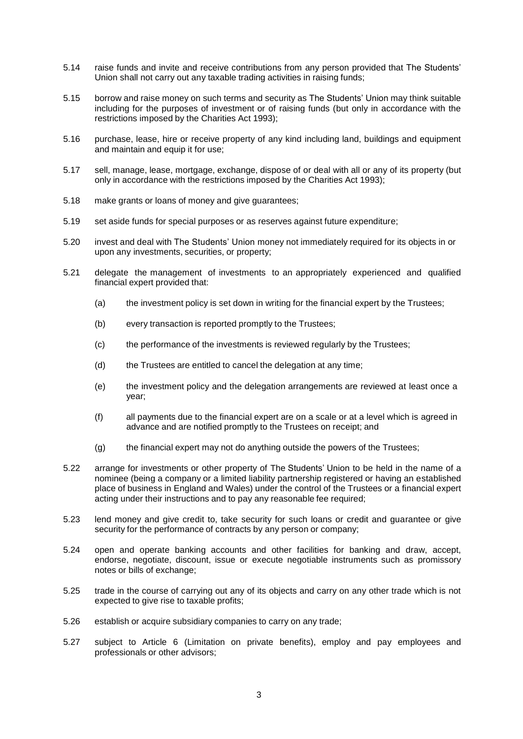- 5.14 raise funds and invite and receive contributions from any person provided that The Students' Union shall not carry out any taxable trading activities in raising funds;
- 5.15 borrow and raise money on such terms and security as The Students' Union may think suitable including for the purposes of investment or of raising funds (but only in accordance with the restrictions imposed by the Charities Act 1993);
- 5.16 purchase, lease, hire or receive property of any kind including land, buildings and equipment and maintain and equip it for use;
- 5.17 sell, manage, lease, mortgage, exchange, dispose of or deal with all or any of its property (but only in accordance with the restrictions imposed by the Charities Act 1993);
- 5.18 make grants or loans of money and give guarantees;
- 5.19 set aside funds for special purposes or as reserves against future expenditure;
- 5.20 invest and deal with The Students' Union money not immediately required for its objects in or upon any investments, securities, or property;
- 5.21 delegate the management of investments to an appropriately experienced and qualified financial expert provided that:
	- (a) the investment policy is set down in writing for the financial expert by the Trustees;
	- (b) every transaction is reported promptly to the Trustees;
	- (c) the performance of the investments is reviewed regularly by the Trustees;
	- (d) the Trustees are entitled to cancel the delegation at any time;
	- (e) the investment policy and the delegation arrangements are reviewed at least once a year;
	- (f) all payments due to the financial expert are on a scale or at a level which is agreed in advance and are notified promptly to the Trustees on receipt; and
	- (g) the financial expert may not do anything outside the powers of the Trustees;
- 5.22 arrange for investments or other property of The Students' Union to be held in the name of a nominee (being a company or a limited liability partnership registered or having an established place of business in England and Wales) under the control of the Trustees or a financial expert acting under their instructions and to pay any reasonable fee required;
- 5.23 lend money and give credit to, take security for such loans or credit and guarantee or give security for the performance of contracts by any person or company;
- 5.24 open and operate banking accounts and other facilities for banking and draw, accept, endorse, negotiate, discount, issue or execute negotiable instruments such as promissory notes or bills of exchange;
- 5.25 trade in the course of carrying out any of its objects and carry on any other trade which is not expected to give rise to taxable profits;
- 5.26 establish or acquire subsidiary companies to carry on any trade;
- 5.27 subject to Article 6 (Limitation on private benefits), employ and pay employees and professionals or other advisors;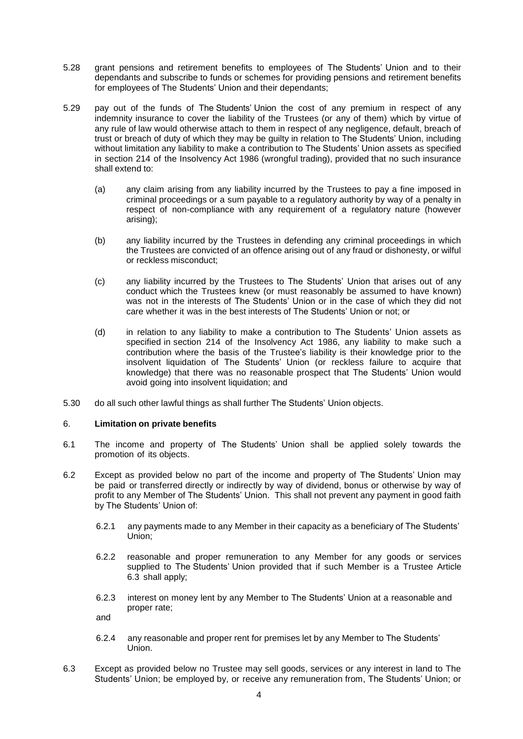- 5.28 grant pensions and retirement benefits to employees of The Students' Union and to their dependants and subscribe to funds or schemes for providing pensions and retirement benefits for employees of The Students' Union and their dependants;
- 5.29 pay out of the funds of The Students' Union the cost of any premium in respect of any indemnity insurance to cover the liability of the Trustees (or any of them) which by virtue of any rule of law would otherwise attach to them in respect of any negligence, default, breach of trust or breach of duty of which they may be guilty in relation to The Students' Union, including without limitation any liability to make a contribution to The Students' Union assets as specified in section 214 of the Insolvency Act 1986 (wrongful trading), provided that no such insurance shall extend to:
	- (a) any claim arising from any liability incurred by the Trustees to pay a fine imposed in criminal proceedings or a sum payable to a regulatory authority by way of a penalty in respect of non-compliance with any requirement of a regulatory nature (however arising);
	- (b) any liability incurred by the Trustees in defending any criminal proceedings in which the Trustees are convicted of an offence arising out of any fraud or dishonesty, or wilful or reckless misconduct;
	- (c) any liability incurred by the Trustees to The Students' Union that arises out of any conduct which the Trustees knew (or must reasonably be assumed to have known) was not in the interests of The Students' Union or in the case of which they did not care whether it was in the best interests of The Students' Union or not; or
	- (d) in relation to any liability to make a contribution to The Students' Union assets as specified in section 214 of the Insolvency Act 1986, any liability to make such a contribution where the basis of the Trustee's liability is their knowledge prior to the insolvent liquidation of The Students' Union (or reckless failure to acquire that knowledge) that there was no reasonable prospect that The Students' Union would avoid going into insolvent liquidation; and
- 5.30 do all such other lawful things as shall further The Students' Union objects.

## 6. **Limitation on private benefits**

- 6.1 The income and property of The Students' Union shall be applied solely towards the promotion of its objects.
- 6.2 Except as provided below no part of the income and property of The Students' Union may be paid or transferred directly or indirectly by way of dividend, bonus or otherwise by way of profit to any Member of The Students' Union. This shall not prevent any payment in good faith by The Students' Union of:
	- 6.2.1 any payments made to any Member in their capacity as a beneficiary of The Students' Union;
	- 6.2.2 reasonable and proper remuneration to any Member for any goods or services supplied to The Students' Union provided that if such Member is a Trustee Article 6.3 shall apply;
	- 6.2.3 interest on money lent by any Member to The Students' Union at a reasonable and proper rate;

and

- 6.2.4 any reasonable and proper rent for premises let by any Member to The Students' Union.
- 6.3 Except as provided below no Trustee may sell goods, services or any interest in land to The Students' Union; be employed by, or receive any remuneration from, The Students' Union; or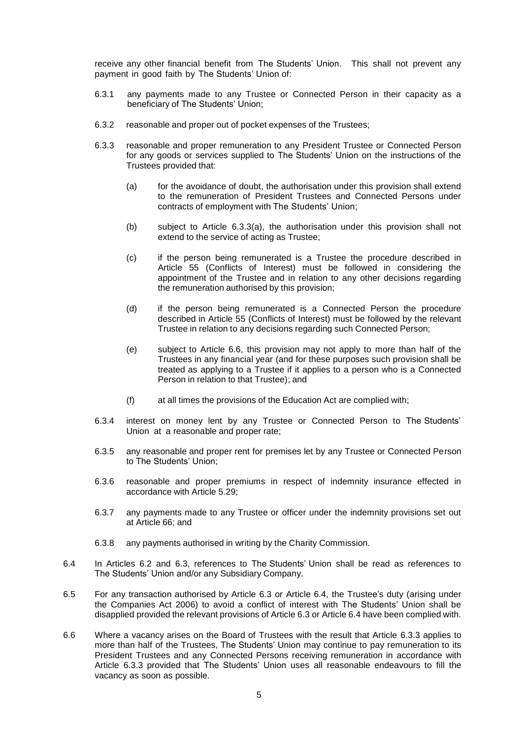receive any other financial benefit from The Students' Union. This shall not prevent any payment in good faith by The Students' Union of:

- 6.3.1 any payments made to any Trustee or Connected Person in their capacity as a beneficiary of The Students' Union;
- 6.3.2 reasonable and proper out of pocket expenses of the Trustees;
- 6.3.3 reasonable and proper remuneration to any President Trustee or Connected Person for any goods or services supplied to The Students' Union on the instructions of the Trustees provided that:
	- (a) for the avoidance of doubt, the authorisation under this provision shall extend to the remuneration of President Trustees and Connected Persons under contracts of employment with The Students' Union;
	- (b) subject to Article 6.3.3(a), the authorisation under this provision shall not extend to the service of acting as Trustee;
	- (c) if the person being remunerated is a Trustee the procedure described in Article 55 (Conflicts of Interest) must be followed in considering the appointment of the Trustee and in relation to any other decisions regarding the remuneration authorised by this provision;
	- (d) if the person being remunerated is a Connected Person the procedure described in Article 55 (Conflicts of Interest) must be followed by the relevant Trustee in relation to any decisions regarding such Connected Person;
	- (e) subject to Article 6.6, this provision may not apply to more than half of the Trustees in any financial year (and for these purposes such provision shall be treated as applying to a Trustee if it applies to a person who is a Connected Person in relation to that Trustee); and
	- (f) at all times the provisions of the Education Act are complied with;
- 6.3.4 interest on money lent by any Trustee or Connected Person to The Students' Union at a reasonable and proper rate;
- 6.3.5 any reasonable and proper rent for premises let by any Trustee or Connected Person to The Students' Union;
- 6.3.6 reasonable and proper premiums in respect of indemnity insurance effected in accordance with Article 5.29;
- 6.3.7 any payments made to any Trustee or officer under the indemnity provisions set out at Article 66; and
- 6.3.8 any payments authorised in writing by the Charity Commission.
- 6.4 In Articles 6.2 and 6.3, references to The Students' Union shall be read as references to The Students' Union and/or any Subsidiary Company.
- 6.5 For any transaction authorised by Article 6.3 or Article 6.4, the Trustee's duty (arising under the Companies Act 2006) to avoid a conflict of interest with The Students' Union shall be disapplied provided the relevant provisions of Article 6.3 or Article 6.4 have been complied with.
- 6.6 Where a vacancy arises on the Board of Trustees with the result that Article 6.3.3 applies to more than half of the Trustees, The Students' Union may continue to pay remuneration to its President Trustees and any Connected Persons receiving remuneration in accordance with Article 6.3.3 provided that The Students' Union uses all reasonable endeavours to fill the vacancy as soon as possible.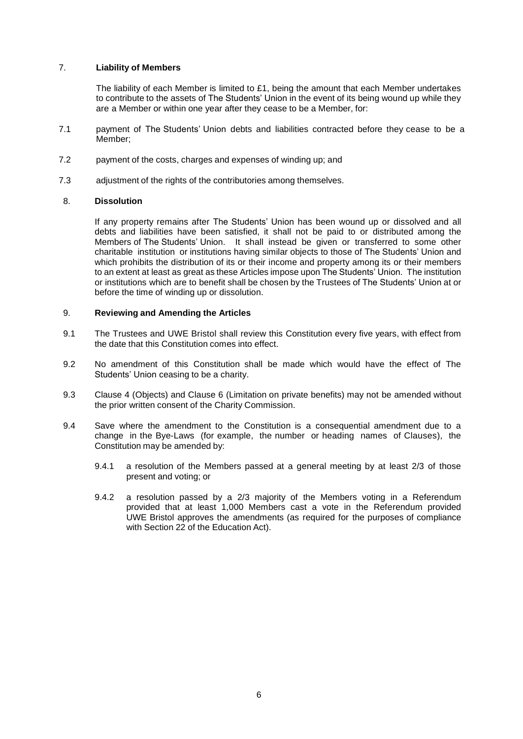### 7. **Liability of Members**

The liability of each Member is limited to  $£1$ , being the amount that each Member undertakes to contribute to the assets of The Students' Union in the event of its being wound up while they are a Member or within one year after they cease to be a Member, for:

- 7.1 payment of The Students' Union debts and liabilities contracted before they cease to be a Member;
- 7.2 payment of the costs, charges and expenses of winding up; and
- 7.3 adjustment of the rights of the contributories among themselves.

## 8. **Dissolution**

If any property remains after The Students' Union has been wound up or dissolved and all debts and liabilities have been satisfied, it shall not be paid to or distributed among the Members of The Students' Union. It shall instead be given or transferred to some other charitable institution or institutions having similar objects to those of The Students' Union and which prohibits the distribution of its or their income and property among its or their members to an extent at least as great as these Articles impose upon The Students' Union. The institution or institutions which are to benefit shall be chosen by the Trustees of The Students' Union at or before the time of winding up or dissolution.

## 9. **Reviewing and Amending the Articles**

- 9.1 The Trustees and UWE Bristol shall review this Constitution every five years, with effect from the date that this Constitution comes into effect.
- 9.2 No amendment of this Constitution shall be made which would have the effect of The Students' Union ceasing to be a charity.
- 9.3 Clause 4 (Objects) and Clause 6 (Limitation on private benefits) may not be amended without the prior written consent of the Charity Commission.
- 9.4 Save where the amendment to the Constitution is a consequential amendment due to a change in the Bye-Laws (for example, the number or heading names of Clauses), the Constitution may be amended by:
	- 9.4.1 a resolution of the Members passed at a general meeting by at least 2/3 of those present and voting; or
	- 9.4.2 a resolution passed by a 2/3 majority of the Members voting in a Referendum provided that at least 1,000 Members cast a vote in the Referendum provided UWE Bristol approves the amendments (as required for the purposes of compliance with Section 22 of the Education Act).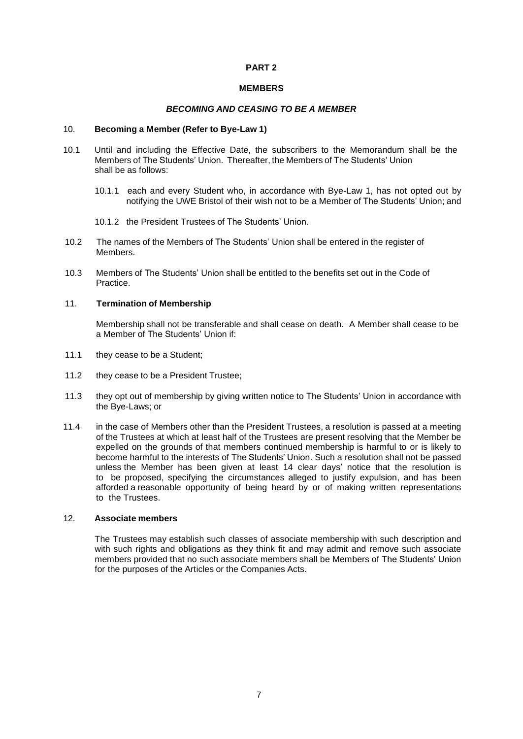### **PART 2**

#### **MEMBERS**

#### *BECOMING AND CEASING TO BE A MEMBER*

#### <span id="page-9-0"></span>10. **Becoming a Member (Refer to Bye-Law 1)**

- 10.1 Until and including the Effective Date, the subscribers to the Memorandum shall be the Members of The Students' Union. Thereafter, the Members of The Students' Union shall be as follows:
	- 10.1.1 each and every Student who, in accordance with Bye-Law 1, has not opted out by notifying the UWE Bristol of their wish not to be a Member of The Students' Union; and
	- 10.1.2 the President Trustees of The Students' Union.
- 10.2 The names of the Members of The Students' Union shall be entered in the register of Members.
- 10.3 Members of The Students' Union shall be entitled to the benefits set out in the Code of Practice.

## 11. **Termination of Membership**

Membership shall not be transferable and shall cease on death. A Member shall cease to be a Member of The Students' Union if:

- 11.1 they cease to be a Student;
- 11.2 they cease to be a President Trustee;
- 11.3 they opt out of membership by giving written notice to The Students' Union in accordance with the Bye-Laws; or
- 11.4 in the case of Members other than the President Trustees, a resolution is passed at a meeting of the Trustees at which at least half of the Trustees are present resolving that the Member be expelled on the grounds of that members continued membership is harmful to or is likely to become harmful to the interests of The Students' Union. Such a resolution shall not be passed unless the Member has been given at least 14 clear days' notice that the resolution is to be proposed, specifying the circumstances alleged to justify expulsion, and has been afforded a reasonable opportunity of being heard by or of making written representations to the Trustees.

## 12. **Associate members**

The Trustees may establish such classes of associate membership with such description and with such rights and obligations as they think fit and may admit and remove such associate members provided that no such associate members shall be Members of The Students' Union for the purposes of the Articles or the Companies Acts.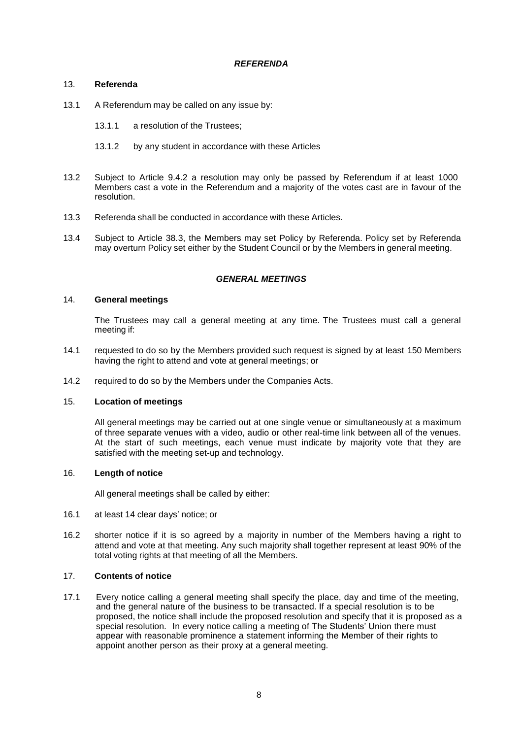## *REFERENDA*

## <span id="page-10-0"></span>13. **Referenda**

- 13.1 A Referendum may be called on any issue by:
	- 13.1.1 a resolution of the Trustees;
	- 13.1.2 by any student in accordance with these Articles
- 13.2 Subject to Article 9.4.2 a resolution may only be passed by Referendum if at least 1000 Members cast a vote in the Referendum and a majority of the votes cast are in favour of the resolution.
- 13.3 Referenda shall be conducted in accordance with these Articles.
- 13.4 Subject to Article 38.3, the Members may set Policy by Referenda. Policy set by Referenda may overturn Policy set either by the Student Council or by the Members in general meeting.

## *GENERAL MEETINGS*

## <span id="page-10-1"></span>14. **General meetings**

The Trustees may call a general meeting at any time. The Trustees must call a general meeting if:

- 14.1 requested to do so by the Members provided such request is signed by at least 150 Members having the right to attend and vote at general meetings; or
- 14.2 required to do so by the Members under the Companies Acts.

#### 15. **Location of meetings**

All general meetings may be carried out at one single venue or simultaneously at a maximum of three separate venues with a video, audio or other real-time link between all of the venues. At the start of such meetings, each venue must indicate by majority vote that they are satisfied with the meeting set-up and technology.

#### 16. **Length of notice**

All general meetings shall be called by either:

- 16.1 at least 14 clear days' notice; or
- 16.2 shorter notice if it is so agreed by a majority in number of the Members having a right to attend and vote at that meeting. Any such majority shall together represent at least 90% of the total voting rights at that meeting of all the Members.

## 17. **Contents of notice**

17.1 Every notice calling a general meeting shall specify the place, day and time of the meeting, and the general nature of the business to be transacted. If a special resolution is to be proposed, the notice shall include the proposed resolution and specify that it is proposed as a special resolution. In every notice calling a meeting of The Students' Union there must appear with reasonable prominence a statement informing the Member of their rights to appoint another person as their proxy at a general meeting.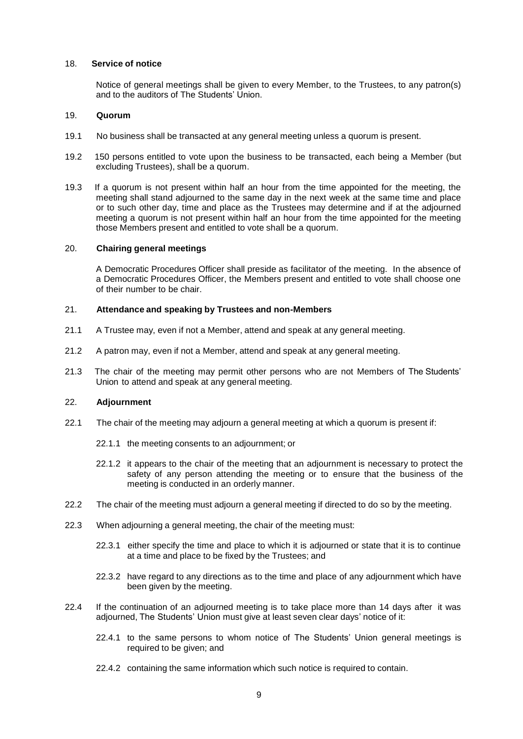#### 18. **Service of notice**

Notice of general meetings shall be given to every Member, to the Trustees, to any patron(s) and to the auditors of The Students' Union.

#### 19. **Quorum**

- 19.1 No business shall be transacted at any general meeting unless a quorum is present.
- 19.2 150 persons entitled to vote upon the business to be transacted, each being a Member (but excluding Trustees), shall be a quorum.
- 19.3 If a quorum is not present within half an hour from the time appointed for the meeting, the meeting shall stand adjourned to the same day in the next week at the same time and place or to such other day, time and place as the Trustees may determine and if at the adjourned meeting a quorum is not present within half an hour from the time appointed for the meeting those Members present and entitled to vote shall be a quorum.

#### 20. **Chairing general meetings**

A Democratic Procedures Officer shall preside as facilitator of the meeting. In the absence of a Democratic Procedures Officer, the Members present and entitled to vote shall choose one of their number to be chair.

## 21. **Attendance and speaking by Trustees and non-Members**

- 21.1 A Trustee may, even if not a Member, attend and speak at any general meeting.
- 21.2 A patron may, even if not a Member, attend and speak at any general meeting.
- 21.3 The chair of the meeting may permit other persons who are not Members of The Students' Union to attend and speak at any general meeting.

### 22. **Adjournment**

- 22.1 The chair of the meeting may adjourn a general meeting at which a quorum is present if:
	- 22.1.1 the meeting consents to an adjournment; or
	- 22.1.2 it appears to the chair of the meeting that an adjournment is necessary to protect the safety of any person attending the meeting or to ensure that the business of the meeting is conducted in an orderly manner.
- 22.2 The chair of the meeting must adjourn a general meeting if directed to do so by the meeting.
- 22.3 When adjourning a general meeting, the chair of the meeting must:
	- 22.3.1 either specify the time and place to which it is adjourned or state that it is to continue at a time and place to be fixed by the Trustees; and
	- 22.3.2 have regard to any directions as to the time and place of any adjournment which have been given by the meeting.
- 22.4 If the continuation of an adjourned meeting is to take place more than 14 days after it was adjourned, The Students' Union must give at least seven clear days' notice of it:
	- 22.4.1 to the same persons to whom notice of The Students' Union general meetings is required to be given; and
	- 22.4.2 containing the same information which such notice is required to contain.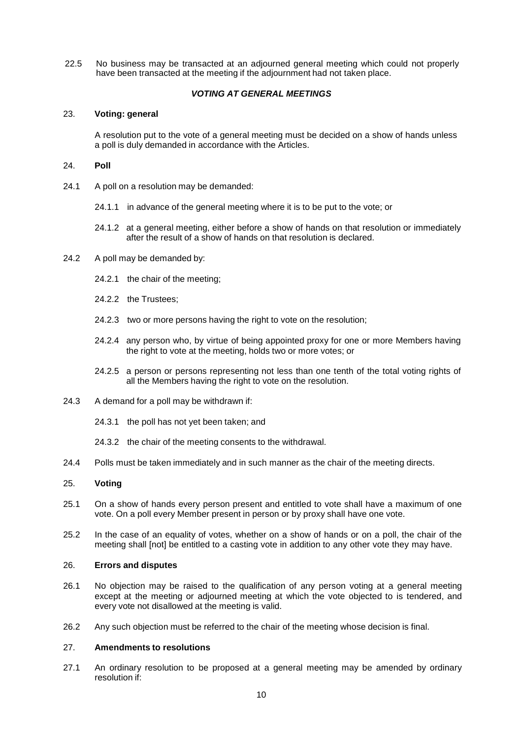22.5 No business may be transacted at an adjourned general meeting which could not properly have been transacted at the meeting if the adjournment had not taken place.

## *VOTING AT GENERAL MEETINGS*

### 23. **Voting: general**

A resolution put to the vote of a general meeting must be decided on a show of hands unless a poll is duly demanded in accordance with the Articles.

#### 24. **Poll**

- 24.1 A poll on a resolution may be demanded:
	- 24.1.1 in advance of the general meeting where it is to be put to the vote; or
	- 24.1.2 at a general meeting, either before a show of hands on that resolution or immediately after the result of a show of hands on that resolution is declared.
- 24.2 A poll may be demanded by:
	- 24.2.1 the chair of the meeting;
	- 24.2.2 the Trustees;
	- 24.2.3 two or more persons having the right to vote on the resolution;
	- 24.2.4 any person who, by virtue of being appointed proxy for one or more Members having the right to vote at the meeting, holds two or more votes; or
	- 24.2.5 a person or persons representing not less than one tenth of the total voting rights of all the Members having the right to vote on the resolution.
- 24.3 A demand for a poll may be withdrawn if:
	- 24.3.1 the poll has not yet been taken; and
	- 24.3.2 the chair of the meeting consents to the withdrawal.
- 24.4 Polls must be taken immediately and in such manner as the chair of the meeting directs.

#### 25. **Voting**

- 25.1 On a show of hands every person present and entitled to vote shall have a maximum of one vote. On a poll every Member present in person or by proxy shall have one vote.
- 25.2 In the case of an equality of votes, whether on a show of hands or on a poll, the chair of the meeting shall [not] be entitled to a casting vote in addition to any other vote they may have.

## 26. **Errors and disputes**

- 26.1 No objection may be raised to the qualification of any person voting at a general meeting except at the meeting or adjourned meeting at which the vote objected to is tendered, and every vote not disallowed at the meeting is valid.
- 26.2 Any such objection must be referred to the chair of the meeting whose decision is final.

#### 27. **Amendments to resolutions**

27.1 An ordinary resolution to be proposed at a general meeting may be amended by ordinary resolution if: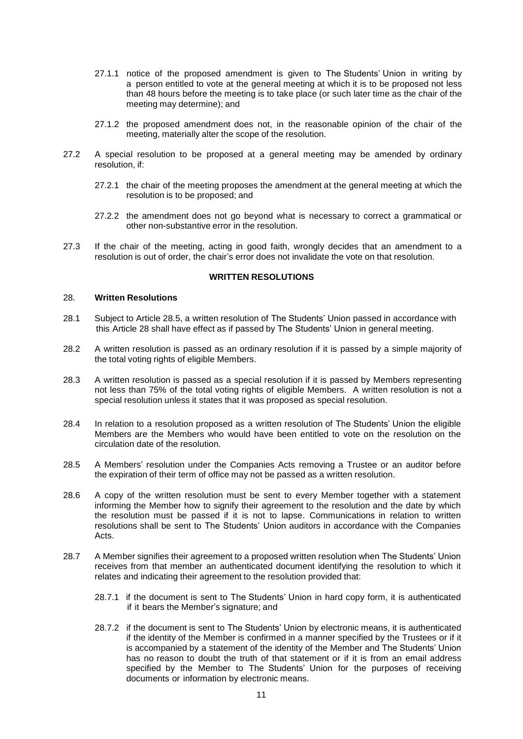- 27.1.1 notice of the proposed amendment is given to The Students' Union in writing by a person entitled to vote at the general meeting at which it is to be proposed not less than 48 hours before the meeting is to take place (or such later time as the chair of the meeting may determine); and
- 27.1.2 the proposed amendment does not, in the reasonable opinion of the chair of the meeting, materially alter the scope of the resolution.
- 27.2 A special resolution to be proposed at a general meeting may be amended by ordinary resolution, if:
	- 27.2.1 the chair of the meeting proposes the amendment at the general meeting at which the resolution is to be proposed; and
	- 27.2.2 the amendment does not go beyond what is necessary to correct a grammatical or other non-substantive error in the resolution.
- 27.3 If the chair of the meeting, acting in good faith, wrongly decides that an amendment to a resolution is out of order, the chair's error does not invalidate the vote on that resolution.

#### **WRITTEN RESOLUTIONS**

#### 28. **Written Resolutions**

- 28.1 Subject to Article 28.5, a written resolution of The Students' Union passed in accordance with this Article 28 shall have effect as if passed by The Students' Union in general meeting.
- 28.2 A written resolution is passed as an ordinary resolution if it is passed by a simple majority of the total voting rights of eligible Members.
- 28.3 A written resolution is passed as a special resolution if it is passed by Members representing not less than 75% of the total voting rights of eligible Members. A written resolution is not a special resolution unless it states that it was proposed as special resolution.
- 28.4 In relation to a resolution proposed as a written resolution of The Students' Union the eligible Members are the Members who would have been entitled to vote on the resolution on the circulation date of the resolution.
- 28.5 A Members' resolution under the Companies Acts removing a Trustee or an auditor before the expiration of their term of office may not be passed as a written resolution.
- 28.6 A copy of the written resolution must be sent to every Member together with a statement informing the Member how to signify their agreement to the resolution and the date by which the resolution must be passed if it is not to lapse. Communications in relation to written resolutions shall be sent to The Students' Union auditors in accordance with the Companies Acts.
- 28.7 A Member signifies their agreement to a proposed written resolution when The Students' Union receives from that member an authenticated document identifying the resolution to which it relates and indicating their agreement to the resolution provided that:
	- 28.7.1 if the document is sent to The Students' Union in hard copy form, it is authenticated if it bears the Member's signature; and
	- 28.7.2 if the document is sent to The Students' Union by electronic means, it is authenticated if the identity of the Member is confirmed in a manner specified by the Trustees or if it is accompanied by a statement of the identity of the Member and The Students' Union has no reason to doubt the truth of that statement or if it is from an email address specified by the Member to The Students' Union for the purposes of receiving documents or information by electronic means.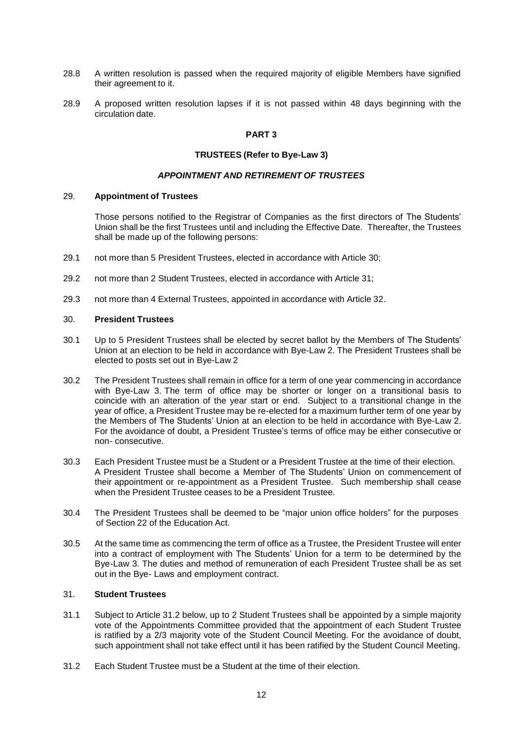- 28.8 A written resolution is passed when the required majority of eligible Members have signified their agreement to it.
- 28.9 A proposed written resolution lapses if it is not passed within 48 days beginning with the circulation date.

## **PART 3**

## **TRUSTEES (Refer to Bye-Law 3)**

## *APPOINTMENT AND RETIREMENT OF TRUSTEES*

## <span id="page-14-0"></span>29. **Appointment of Trustees**

Those persons notified to the Registrar of Companies as the first directors of The Students' Union shall be the first Trustees until and including the Effective Date. Thereafter, the Trustees shall be made up of the following persons:

- 29.1 not more than 5 President Trustees, elected in accordance with Article 30;
- 29.2 not more than 2 Student Trustees, elected in accordance with Article 31;
- 29.3 not more than 4 External Trustees, appointed in accordance with Article 32.

## 30. **President Trustees**

- 30.1 Up to 5 President Trustees shall be elected by secret ballot by the Members of The Students' Union at an election to be held in accordance with Bye-Law 2. The President Trustees shall be elected to posts set out in Bye-Law 2
- 30.2 The President Trustees shall remain in office for a term of one year commencing in accordance with Bye-Law 3. The term of office may be shorter or longer on a transitional basis to coincide with an alteration of the year start or end. Subject to a transitional change in the year of office, a President Trustee may be re-elected for a maximum further term of one year by the Members of The Students' Union at an election to be held in accordance with Bye-Law 2. For the avoidance of doubt, a President Trustee's terms of office may be either consecutive or non- consecutive.
- 30.3 Each President Trustee must be a Student or a President Trustee at the time of their election. A President Trustee shall become a Member of The Students' Union on commencement of their appointment or re-appointment as a President Trustee. Such membership shall cease when the President Trustee ceases to be a President Trustee.
- 30.4 The President Trustees shall be deemed to be "major union office holders" for the purposes of Section 22 of the Education Act.
- 30.5 At the same time as commencing the term of office as a Trustee, the President Trustee will enter into a contract of employment with The Students' Union for a term to be determined by the Bye-Law 3. The duties and method of remuneration of each President Trustee shall be as set out in the Bye- Laws and employment contract.

## 31. **Student Trustees**

- 31.1 Subject to Article 31.2 below, up to 2 Student Trustees shall be appointed by a simple majority vote of the Appointments Committee provided that the appointment of each Student Trustee is ratified by a 2/3 majority vote of the Student Council Meeting. For the avoidance of doubt, such appointment shall not take effect until it has been ratified by the Student Council Meeting.
- 31.2 Each Student Trustee must be a Student at the time of their election.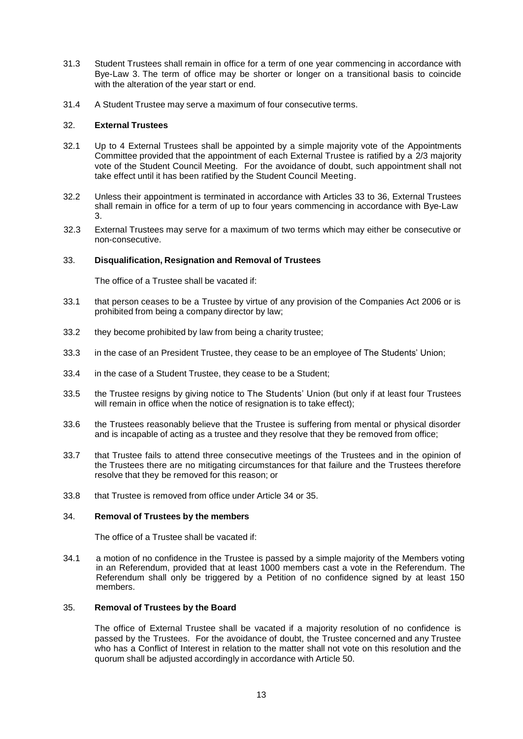- 31.3 Student Trustees shall remain in office for a term of one year commencing in accordance with Bye-Law 3. The term of office may be shorter or longer on a transitional basis to coincide with the alteration of the year start or end.
- 31.4 A Student Trustee may serve a maximum of four consecutive terms.

## 32. **External Trustees**

- 32.1 Up to 4 External Trustees shall be appointed by a simple majority vote of the Appointments Committee provided that the appointment of each External Trustee is ratified by a 2/3 majority vote of the Student Council Meeting. For the avoidance of doubt, such appointment shall not take effect until it has been ratified by the Student Council Meeting.
- 32.2 Unless their appointment is terminated in accordance with Articles 33 to 36, External Trustees shall remain in office for a term of up to four years commencing in accordance with Bye-Law 3.
- 32.3 External Trustees may serve for a maximum of two terms which may either be consecutive or non-consecutive.

## 33. **Disqualification, Resignation and Removal of Trustees**

The office of a Trustee shall be vacated if:

- 33.1 that person ceases to be a Trustee by virtue of any provision of the Companies Act 2006 or is prohibited from being a company director by law;
- 33.2 they become prohibited by law from being a charity trustee;
- 33.3 in the case of an President Trustee, they cease to be an employee of The Students' Union;
- 33.4 in the case of a Student Trustee, they cease to be a Student;
- 33.5 the Trustee resigns by giving notice to The Students' Union (but only if at least four Trustees will remain in office when the notice of resignation is to take effect);
- 33.6 the Trustees reasonably believe that the Trustee is suffering from mental or physical disorder and is incapable of acting as a trustee and they resolve that they be removed from office;
- 33.7 that Trustee fails to attend three consecutive meetings of the Trustees and in the opinion of the Trustees there are no mitigating circumstances for that failure and the Trustees therefore resolve that they be removed for this reason; or
- 33.8 that Trustee is removed from office under Article 34 or 35.

## 34. **Removal of Trustees by the members**

The office of a Trustee shall be vacated if:

34.1 a motion of no confidence in the Trustee is passed by a simple majority of the Members voting in an Referendum, provided that at least 1000 members cast a vote in the Referendum. The Referendum shall only be triggered by a Petition of no confidence signed by at least 150 members.

#### 35. **Removal of Trustees by the Board**

The office of External Trustee shall be vacated if a majority resolution of no confidence is passed by the Trustees. For the avoidance of doubt, the Trustee concerned and any Trustee who has a Conflict of Interest in relation to the matter shall not vote on this resolution and the quorum shall be adjusted accordingly in accordance with Article 50.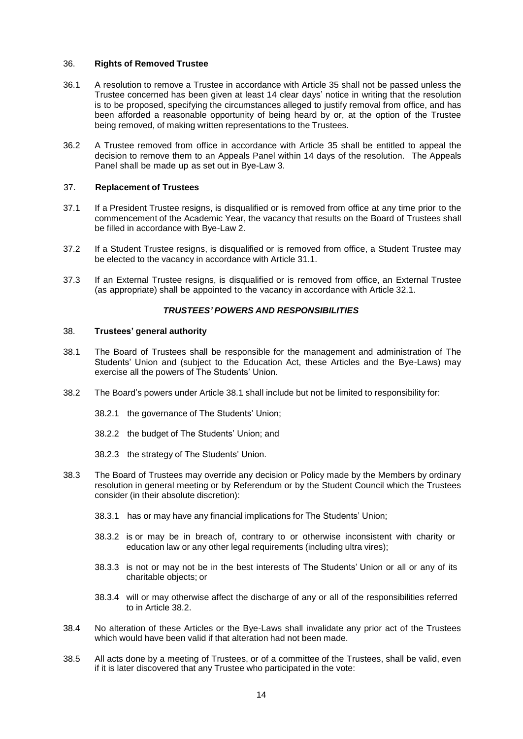### 36. **Rights of Removed Trustee**

- 36.1 A resolution to remove a Trustee in accordance with Article 35 shall not be passed unless the Trustee concerned has been given at least 14 clear days' notice in writing that the resolution is to be proposed, specifying the circumstances alleged to justify removal from office, and has been afforded a reasonable opportunity of being heard by or, at the option of the Trustee being removed, of making written representations to the Trustees.
- 36.2 A Trustee removed from office in accordance with Article 35 shall be entitled to appeal the decision to remove them to an Appeals Panel within 14 days of the resolution. The Appeals Panel shall be made up as set out in Bye-Law 3.

## 37. **Replacement of Trustees**

- 37.1 If a President Trustee resigns, is disqualified or is removed from office at any time prior to the commencement of the Academic Year, the vacancy that results on the Board of Trustees shall be filled in accordance with Bye-Law 2.
- 37.2 If a Student Trustee resigns, is disqualified or is removed from office, a Student Trustee may be elected to the vacancy in accordance with Article 31.1.
- 37.3 If an External Trustee resigns, is disqualified or is removed from office, an External Trustee (as appropriate) shall be appointed to the vacancy in accordance with Article 32.1.

## *TRUSTEES' POWERS AND RESPONSIBILITIES*

#### 38. **Trustees' general authority**

- 38.1 The Board of Trustees shall be responsible for the management and administration of The Students' Union and (subject to the Education Act, these Articles and the Bye-Laws) may exercise all the powers of The Students' Union.
- 38.2 The Board's powers under Article 38.1 shall include but not be limited to responsibility for:
	- 38.2.1 the governance of The Students' Union;
	- 38.2.2 the budget of The Students' Union; and
	- 38.2.3 the strategy of The Students' Union.
- 38.3 The Board of Trustees may override any decision or Policy made by the Members by ordinary resolution in general meeting or by Referendum or by the Student Council which the Trustees consider (in their absolute discretion):
	- 38.3.1 has or may have any financial implications for The Students' Union;
	- 38.3.2 is or may be in breach of, contrary to or otherwise inconsistent with charity or education law or any other legal requirements (including ultra vires);
	- 38.3.3 is not or may not be in the best interests of The Students' Union or all or any of its charitable objects; or
	- 38.3.4 will or may otherwise affect the discharge of any or all of the responsibilities referred to in Article 38.2.
- 38.4 No alteration of these Articles or the Bye-Laws shall invalidate any prior act of the Trustees which would have been valid if that alteration had not been made.
- 38.5 All acts done by a meeting of Trustees, or of a committee of the Trustees, shall be valid, even if it is later discovered that any Trustee who participated in the vote: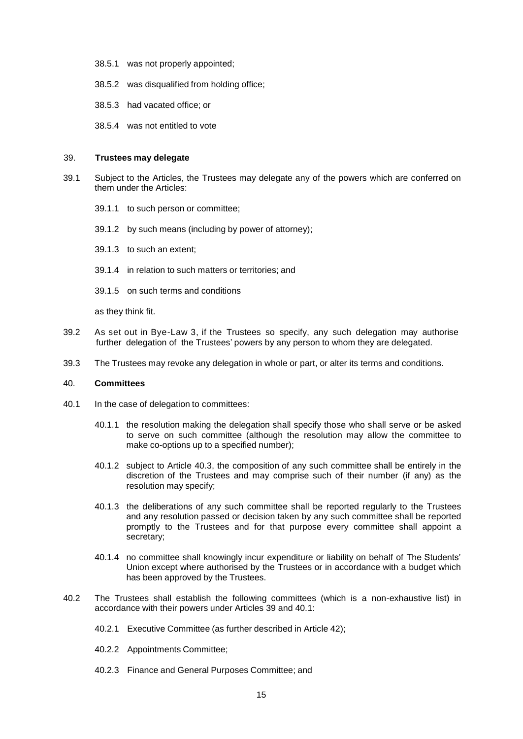- 38.5.1 was not properly appointed;
- 38.5.2 was disqualified from holding office;
- 38.5.3 had vacated office; or
- 38.5.4 was not entitled to vote

#### 39. **Trustees may delegate**

- 39.1 Subject to the Articles, the Trustees may delegate any of the powers which are conferred on them under the Articles:
	- 39.1.1 to such person or committee;
	- 39.1.2 by such means (including by power of attorney);
	- 39.1.3 to such an extent;
	- 39.1.4 in relation to such matters or territories; and
	- 39.1.5 on such terms and conditions

as they think fit.

- 39.2 As set out in Bye-Law 3, if the Trustees so specify, any such delegation may authorise further delegation of the Trustees' powers by any person to whom they are delegated.
- 39.3 The Trustees may revoke any delegation in whole or part, or alter its terms and conditions.

#### 40. **Committees**

- 40.1 In the case of delegation to committees:
	- 40.1.1 the resolution making the delegation shall specify those who shall serve or be asked to serve on such committee (although the resolution may allow the committee to make co-options up to a specified number);
	- 40.1.2 subject to Article 40.3, the composition of any such committee shall be entirely in the discretion of the Trustees and may comprise such of their number (if any) as the resolution may specify;
	- 40.1.3 the deliberations of any such committee shall be reported regularly to the Trustees and any resolution passed or decision taken by any such committee shall be reported promptly to the Trustees and for that purpose every committee shall appoint a secretary;
	- 40.1.4 no committee shall knowingly incur expenditure or liability on behalf of The Students' Union except where authorised by the Trustees or in accordance with a budget which has been approved by the Trustees.
- 40.2 The Trustees shall establish the following committees (which is a non-exhaustive list) in accordance with their powers under Articles 39 and 40.1:
	- 40.2.1 Executive Committee (as further described in Article 42);
	- 40.2.2 Appointments Committee;
	- 40.2.3 Finance and General Purposes Committee; and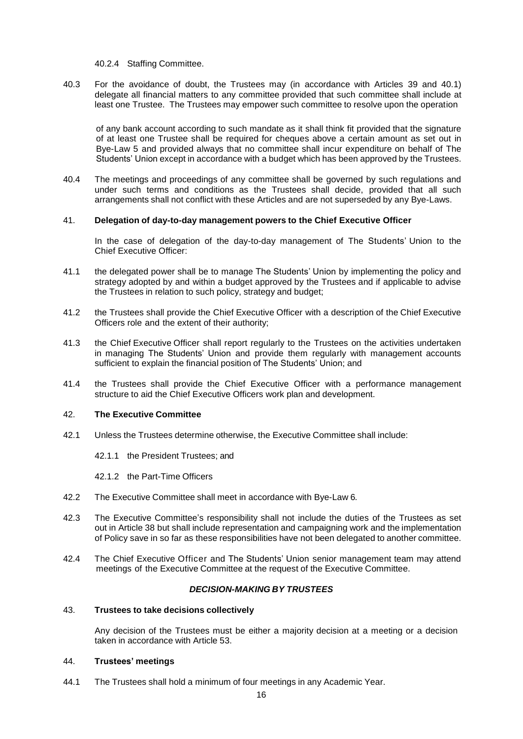40.2.4 Staffing Committee.

40.3 For the avoidance of doubt, the Trustees may (in accordance with Articles 39 and 40.1) delegate all financial matters to any committee provided that such committee shall include at least one Trustee. The Trustees may empower such committee to resolve upon the operation

of any bank account according to such mandate as it shall think fit provided that the signature of at least one Trustee shall be required for cheques above a certain amount as set out in Bye-Law 5 and provided always that no committee shall incur expenditure on behalf of The Students' Union except in accordance with a budget which has been approved by the Trustees.

40.4 The meetings and proceedings of any committee shall be governed by such regulations and under such terms and conditions as the Trustees shall decide, provided that all such arrangements shall not conflict with these Articles and are not superseded by any Bye-Laws.

#### 41. **Delegation of day-to-day management powers to the Chief Executive Officer**

In the case of delegation of the day-to-day management of The Students' Union to the Chief Executive Officer:

- 41.1 the delegated power shall be to manage The Students' Union by implementing the policy and strategy adopted by and within a budget approved by the Trustees and if applicable to advise the Trustees in relation to such policy, strategy and budget;
- 41.2 the Trustees shall provide the Chief Executive Officer with a description of the Chief Executive Officers role and the extent of their authority;
- 41.3 the Chief Executive Officer shall report regularly to the Trustees on the activities undertaken in managing The Students' Union and provide them regularly with management accounts sufficient to explain the financial position of The Students' Union; and
- 41.4 the Trustees shall provide the Chief Executive Officer with a performance management structure to aid the Chief Executive Officers work plan and development.

#### <span id="page-18-0"></span>42. **The Executive Committee**

- 42.1 Unless the Trustees determine otherwise, the Executive Committee shall include:
	- 42.1.1 the President Trustees; and
	- 42.1.2 the Part-Time Officers
- 42.2 The Executive Committee shall meet in accordance with Bye-Law 6.
- 42.3 The Executive Committee's responsibility shall not include the duties of the Trustees as set out in Article 38 but shall include representation and campaigning work and the implementation of Policy save in so far as these responsibilities have not been delegated to another committee.
- 42.4 The Chief Executive Officer and The Students' Union senior management team may attend meetings of the Executive Committee at the request of the Executive Committee.

#### *DECISION-MAKING BY TRUSTEES*

## <span id="page-18-1"></span>43. **Trustees to take decisions collectively**

Any decision of the Trustees must be either a majority decision at a meeting or a decision taken in accordance with Article 53.

#### 44. **Trustees' meetings**

44.1 The Trustees shall hold a minimum of four meetings in any Academic Year.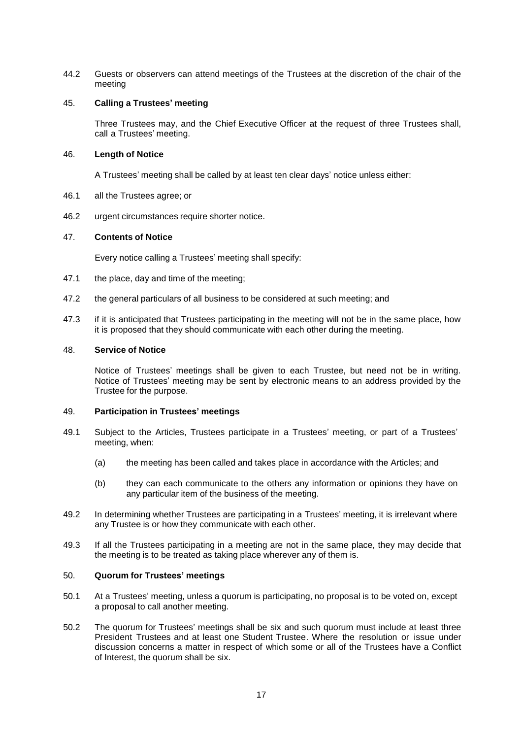44.2 Guests or observers can attend meetings of the Trustees at the discretion of the chair of the meeting

## 45. **Calling a Trustees' meeting**

Three Trustees may, and the Chief Executive Officer at the request of three Trustees shall, call a Trustees' meeting.

### 46. **Length of Notice**

A Trustees' meeting shall be called by at least ten clear days' notice unless either:

- 46.1 all the Trustees agree; or
- 46.2 urgent circumstances require shorter notice.

## 47. **Contents of Notice**

Every notice calling a Trustees' meeting shall specify:

- 47.1 the place, day and time of the meeting;
- 47.2 the general particulars of all business to be considered at such meeting; and
- 47.3 if it is anticipated that Trustees participating in the meeting will not be in the same place, how it is proposed that they should communicate with each other during the meeting.

### 48. **Service of Notice**

Notice of Trustees' meetings shall be given to each Trustee, but need not be in writing. Notice of Trustees' meeting may be sent by electronic means to an address provided by the Trustee for the purpose.

#### 49. **Participation in Trustees' meetings**

- 49.1 Subject to the Articles, Trustees participate in a Trustees' meeting, or part of a Trustees' meeting, when:
	- (a) the meeting has been called and takes place in accordance with the Articles; and
	- (b) they can each communicate to the others any information or opinions they have on any particular item of the business of the meeting.
- 49.2 In determining whether Trustees are participating in a Trustees' meeting, it is irrelevant where any Trustee is or how they communicate with each other.
- 49.3 If all the Trustees participating in a meeting are not in the same place, they may decide that the meeting is to be treated as taking place wherever any of them is.

## 50. **Quorum for Trustees' meetings**

- 50.1 At a Trustees' meeting, unless a quorum is participating, no proposal is to be voted on, except a proposal to call another meeting.
- 50.2 The quorum for Trustees' meetings shall be six and such quorum must include at least three President Trustees and at least one Student Trustee. Where the resolution or issue under discussion concerns a matter in respect of which some or all of the Trustees have a Conflict of Interest, the quorum shall be six.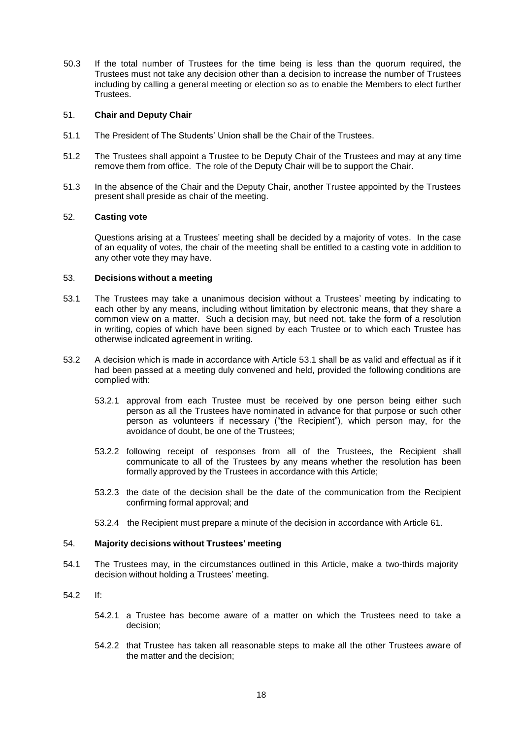50.3 If the total number of Trustees for the time being is less than the quorum required, the Trustees must not take any decision other than a decision to increase the number of Trustees including by calling a general meeting or election so as to enable the Members to elect further Trustees.

## 51. **Chair and Deputy Chair**

- 51.1 The President of The Students' Union shall be the Chair of the Trustees.
- 51.2 The Trustees shall appoint a Trustee to be Deputy Chair of the Trustees and may at any time remove them from office. The role of the Deputy Chair will be to support the Chair.
- 51.3 In the absence of the Chair and the Deputy Chair, another Trustee appointed by the Trustees present shall preside as chair of the meeting.

## 52. **Casting vote**

Questions arising at a Trustees' meeting shall be decided by a majority of votes. In the case of an equality of votes, the chair of the meeting shall be entitled to a casting vote in addition to any other vote they may have.

#### 53. **Decisions without a meeting**

- 53.1 The Trustees may take a unanimous decision without a Trustees' meeting by indicating to each other by any means, including without limitation by electronic means, that they share a common view on a matter. Such a decision may, but need not, take the form of a resolution in writing, copies of which have been signed by each Trustee or to which each Trustee has otherwise indicated agreement in writing.
- 53.2 A decision which is made in accordance with Article 53.1 shall be as valid and effectual as if it had been passed at a meeting duly convened and held, provided the following conditions are complied with:
	- 53.2.1 approval from each Trustee must be received by one person being either such person as all the Trustees have nominated in advance for that purpose or such other person as volunteers if necessary ("the Recipient"), which person may, for the avoidance of doubt, be one of the Trustees;
	- 53.2.2 following receipt of responses from all of the Trustees, the Recipient shall communicate to all of the Trustees by any means whether the resolution has been formally approved by the Trustees in accordance with this Article;
	- 53.2.3 the date of the decision shall be the date of the communication from the Recipient confirming formal approval; and
	- 53.2.4 the Recipient must prepare a minute of the decision in accordance with Article 61.

#### 54. **Majority decisions without Trustees' meeting**

- 54.1 The Trustees may, in the circumstances outlined in this Article, make a two-thirds majority decision without holding a Trustees' meeting.
- 54.2 If:
	- 54.2.1 a Trustee has become aware of a matter on which the Trustees need to take a decision;
	- 54.2.2 that Trustee has taken all reasonable steps to make all the other Trustees aware of the matter and the decision;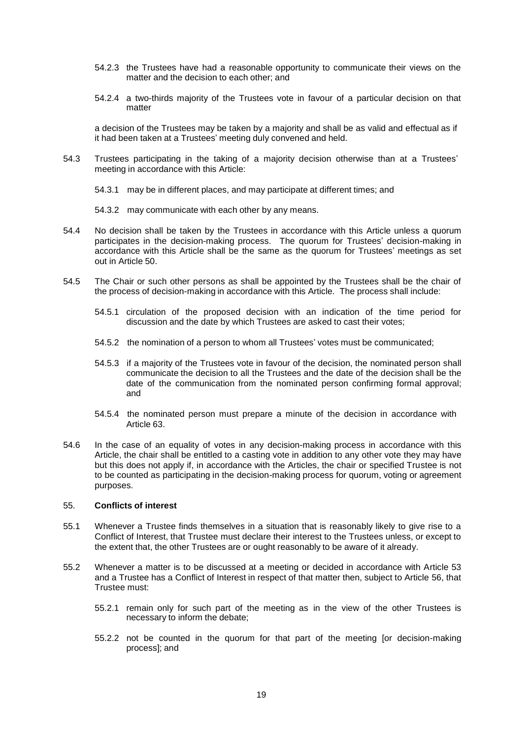- 54.2.3 the Trustees have had a reasonable opportunity to communicate their views on the matter and the decision to each other; and
- 54.2.4 a two-thirds majority of the Trustees vote in favour of a particular decision on that matter

a decision of the Trustees may be taken by a majority and shall be as valid and effectual as if it had been taken at a Trustees' meeting duly convened and held.

- 54.3 Trustees participating in the taking of a majority decision otherwise than at a Trustees' meeting in accordance with this Article:
	- 54.3.1 may be in different places, and may participate at different times; and
	- 54.3.2 may communicate with each other by any means.
- 54.4 No decision shall be taken by the Trustees in accordance with this Article unless a quorum participates in the decision-making process. The quorum for Trustees' decision-making in accordance with this Article shall be the same as the quorum for Trustees' meetings as set out in Article 50.
- 54.5 The Chair or such other persons as shall be appointed by the Trustees shall be the chair of the process of decision-making in accordance with this Article. The process shall include:
	- 54.5.1 circulation of the proposed decision with an indication of the time period for discussion and the date by which Trustees are asked to cast their votes;
	- 54.5.2 the nomination of a person to whom all Trustees' votes must be communicated;
	- 54.5.3 if a majority of the Trustees vote in favour of the decision, the nominated person shall communicate the decision to all the Trustees and the date of the decision shall be the date of the communication from the nominated person confirming formal approval; and
	- 54.5.4 the nominated person must prepare a minute of the decision in accordance with Article 63.
- 54.6 In the case of an equality of votes in any decision-making process in accordance with this Article, the chair shall be entitled to a casting vote in addition to any other vote they may have but this does not apply if, in accordance with the Articles, the chair or specified Trustee is not to be counted as participating in the decision-making process for quorum, voting or agreement purposes.

## 55. **Conflicts of interest**

- 55.1 Whenever a Trustee finds themselves in a situation that is reasonably likely to give rise to a Conflict of Interest, that Trustee must declare their interest to the Trustees unless, or except to the extent that, the other Trustees are or ought reasonably to be aware of it already.
- 55.2 Whenever a matter is to be discussed at a meeting or decided in accordance with Article 53 and a Trustee has a Conflict of Interest in respect of that matter then, subject to Article 56, that Trustee must:
	- 55.2.1 remain only for such part of the meeting as in the view of the other Trustees is necessary to inform the debate;
	- 55.2.2 not be counted in the quorum for that part of the meeting [or decision-making process]; and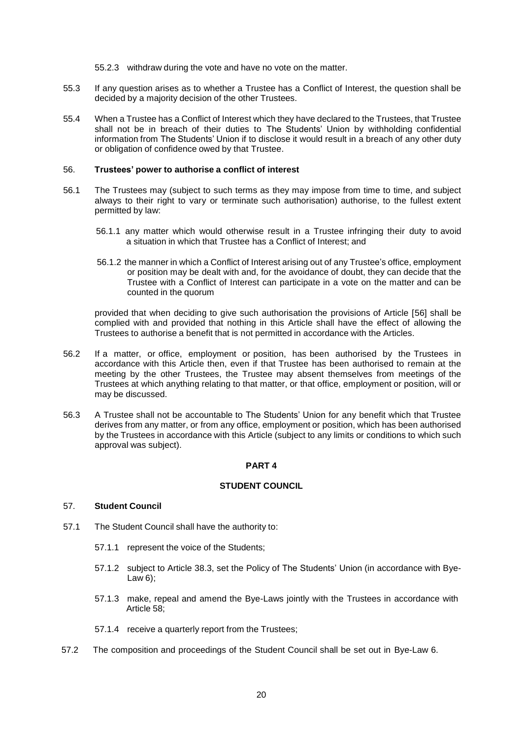55.2.3 withdraw during the vote and have no vote on the matter.

- 55.3 If any question arises as to whether a Trustee has a Conflict of Interest, the question shall be decided by a majority decision of the other Trustees.
- 55.4 When a Trustee has a Conflict of Interest which they have declared to the Trustees, that Trustee shall not be in breach of their duties to The Students' Union by withholding confidential information from The Students' Union if to disclose it would result in a breach of any other duty or obligation of confidence owed by that Trustee.

#### 56. **Trustees' power to authorise a conflict of interest**

- 56.1 The Trustees may (subject to such terms as they may impose from time to time, and subject always to their right to vary or terminate such authorisation) authorise, to the fullest extent permitted by law:
	- 56.1.1 any matter which would otherwise result in a Trustee infringing their duty to avoid a situation in which that Trustee has a Conflict of Interest; and
	- 56.1.2 the manner in which a Conflict of Interest arising out of any Trustee's office, employment or position may be dealt with and, for the avoidance of doubt, they can decide that the Trustee with a Conflict of Interest can participate in a vote on the matter and can be counted in the quorum

provided that when deciding to give such authorisation the provisions of Article [56] shall be complied with and provided that nothing in this Article shall have the effect of allowing the Trustees to authorise a benefit that is not permitted in accordance with the Articles.

- 56.2 If a matter, or office, employment or position, has been authorised by the Trustees in accordance with this Article then, even if that Trustee has been authorised to remain at the meeting by the other Trustees, the Trustee may absent themselves from meetings of the Trustees at which anything relating to that matter, or that office, employment or position, will or may be discussed.
- 56.3 A Trustee shall not be accountable to The Students' Union for any benefit which that Trustee derives from any matter, or from any office, employment or position, which has been authorised by the Trustees in accordance with this Article (subject to any limits or conditions to which such approval was subject).

### **PART 4**

## **STUDENT COUNCIL**

#### <span id="page-22-0"></span>57. **Student Council**

- 57.1 The Student Council shall have the authority to:
	- 57.1.1 represent the voice of the Students;
		- 57.1.2 subject to Article 38.3, set the Policy of The Students' Union (in accordance with Bye-Law 6);
		- 57.1.3 make, repeal and amend the Bye-Laws jointly with the Trustees in accordance with Article 58;
	- 57.1.4 receive a quarterly report from the Trustees;
- 57.2 The composition and proceedings of the Student Council shall be set out in Bye-Law 6.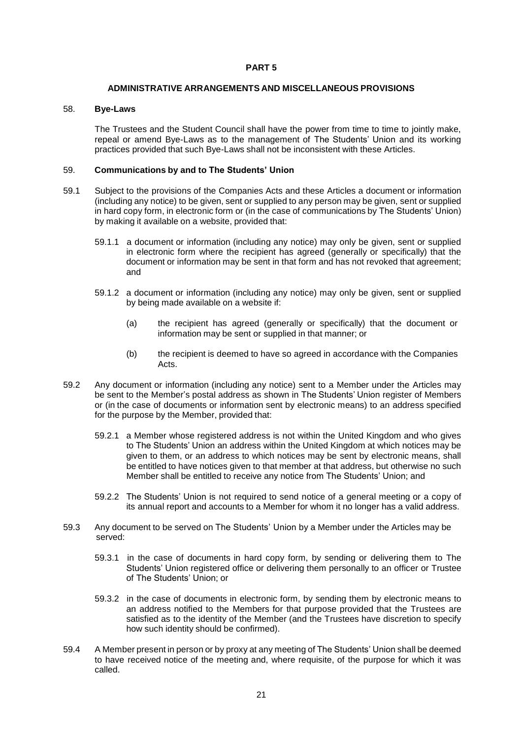### **PART 5**

#### **ADMINISTRATIVE ARRANGEMENTS AND MISCELLANEOUS PROVISIONS**

## <span id="page-23-0"></span>58. **Bye-Laws**

The Trustees and the Student Council shall have the power from time to time to jointly make, repeal or amend Bye-Laws as to the management of The Students' Union and its working practices provided that such Bye-Laws shall not be inconsistent with these Articles.

## 59. **Communications by and to The Students' Union**

- 59.1 Subject to the provisions of the Companies Acts and these Articles a document or information (including any notice) to be given, sent or supplied to any person may be given, sent or supplied in hard copy form, in electronic form or (in the case of communications by The Students' Union) by making it available on a website, provided that:
	- 59.1.1 a document or information (including any notice) may only be given, sent or supplied in electronic form where the recipient has agreed (generally or specifically) that the document or information may be sent in that form and has not revoked that agreement; and
	- 59.1.2 a document or information (including any notice) may only be given, sent or supplied by being made available on a website if:
		- (a) the recipient has agreed (generally or specifically) that the document or information may be sent or supplied in that manner; or
		- (b) the recipient is deemed to have so agreed in accordance with the Companies Acts.
- 59.2 Any document or information (including any notice) sent to a Member under the Articles may be sent to the Member's postal address as shown in The Students' Union register of Members or (in the case of documents or information sent by electronic means) to an address specified for the purpose by the Member, provided that:
	- 59.2.1 a Member whose registered address is not within the United Kingdom and who gives to The Students' Union an address within the United Kingdom at which notices may be given to them, or an address to which notices may be sent by electronic means, shall be entitled to have notices given to that member at that address, but otherwise no such Member shall be entitled to receive any notice from The Students' Union; and
	- 59.2.2 The Students' Union is not required to send notice of a general meeting or a copy of its annual report and accounts to a Member for whom it no longer has a valid address.
- 59.3 Any document to be served on The Students' Union by a Member under the Articles may be served:
	- 59.3.1 in the case of documents in hard copy form, by sending or delivering them to The Students' Union registered office or delivering them personally to an officer or Trustee of The Students' Union; or
	- 59.3.2 in the case of documents in electronic form, by sending them by electronic means to an address notified to the Members for that purpose provided that the Trustees are satisfied as to the identity of the Member (and the Trustees have discretion to specify how such identity should be confirmed).
- 59.4 A Member present in person or by proxy at any meeting of The Students' Union shall be deemed to have received notice of the meeting and, where requisite, of the purpose for which it was called.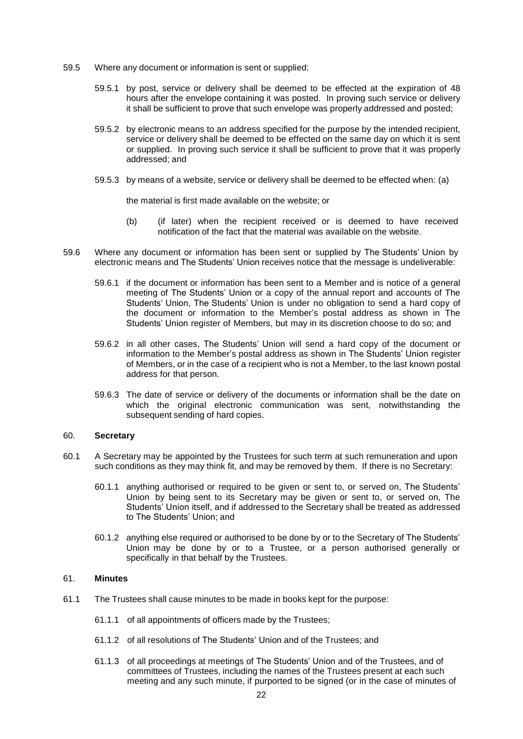- 59.5 Where any document or information is sent or supplied:
	- 59.5.1 by post, service or delivery shall be deemed to be effected at the expiration of 48 hours after the envelope containing it was posted. In proving such service or delivery it shall be sufficient to prove that such envelope was properly addressed and posted;
	- 59.5.2 by electronic means to an address specified for the purpose by the intended recipient, service or delivery shall be deemed to be effected on the same day on which it is sent or supplied. In proving such service it shall be sufficient to prove that it was properly addressed; and
	- 59.5.3 by means of a website, service or delivery shall be deemed to be effected when: (a)

the material is first made available on the website; or

- (b) (if later) when the recipient received or is deemed to have received notification of the fact that the material was available on the website.
- 59.6 Where any document or information has been sent or supplied by The Students' Union by electronic means and The Students' Union receives notice that the message is undeliverable:
	- 59.6.1 if the document or information has been sent to a Member and is notice of a general meeting of The Students' Union or a copy of the annual report and accounts of The Students' Union, The Students' Union is under no obligation to send a hard copy of the document or information to the Member's postal address as shown in The Students' Union register of Members, but may in its discretion choose to do so; and
	- 59.6.2 in all other cases, The Students' Union will send a hard copy of the document or information to the Member's postal address as shown in The Students' Union register of Members, or in the case of a recipient who is not a Member, to the last known postal address for that person.
	- 59.6.3 The date of service or delivery of the documents or information shall be the date on which the original electronic communication was sent, notwithstanding the subsequent sending of hard copies.

#### 60. **Secretary**

- 60.1 A Secretary may be appointed by the Trustees for such term at such remuneration and upon such conditions as they may think fit, and may be removed by them. If there is no Secretary:
	- 60.1.1 anything authorised or required to be given or sent to, or served on, The Students' Union by being sent to its Secretary may be given or sent to, or served on, The Students' Union itself, and if addressed to the Secretary shall be treated as addressed to The Students' Union; and
	- 60.1.2 anything else required or authorised to be done by or to the Secretary of The Students' Union may be done by or to a Trustee, or a person authorised generally or specifically in that behalf by the Trustees.

#### 61. **Minutes**

- 61.1 The Trustees shall cause minutes to be made in books kept for the purpose:
	- 61.1.1 of all appointments of officers made by the Trustees;
	- 61.1.2 of all resolutions of The Students' Union and of the Trustees; and
	- 61.1.3 of all proceedings at meetings of The Students' Union and of the Trustees, and of committees of Trustees, including the names of the Trustees present at each such meeting and any such minute, if purported to be signed (or in the case of minutes of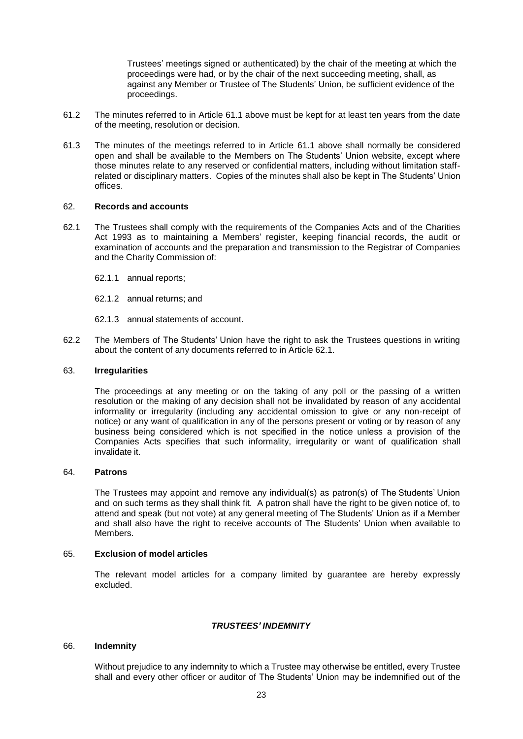Trustees' meetings signed or authenticated) by the chair of the meeting at which the proceedings were had, or by the chair of the next succeeding meeting, shall, as against any Member or Trustee of The Students' Union, be sufficient evidence of the proceedings.

- 61.2 The minutes referred to in Article 61.1 above must be kept for at least ten years from the date of the meeting, resolution or decision.
- 61.3 The minutes of the meetings referred to in Article 61.1 above shall normally be considered open and shall be available to the Members on The Students' Union website, except where those minutes relate to any reserved or confidential matters, including without limitation staffrelated or disciplinary matters. Copies of the minutes shall also be kept in The Students' Union offices.

## 62. **Records and accounts**

- 62.1 The Trustees shall comply with the requirements of the Companies Acts and of the Charities Act 1993 as to maintaining a Members' register, keeping financial records, the audit or examination of accounts and the preparation and transmission to the Registrar of Companies and the Charity Commission of:
	- 62.1.1 annual reports;
	- 62.1.2 annual returns; and
	- 62.1.3 annual statements of account.
- 62.2 The Members of The Students' Union have the right to ask the Trustees questions in writing about the content of any documents referred to in Article 62.1.

## 63. **Irregularities**

The proceedings at any meeting or on the taking of any poll or the passing of a written resolution or the making of any decision shall not be invalidated by reason of any accidental informality or irregularity (including any accidental omission to give or any non-receipt of notice) or any want of qualification in any of the persons present or voting or by reason of any business being considered which is not specified in the notice unless a provision of the Companies Acts specifies that such informality, irregularity or want of qualification shall invalidate it.

#### 64. **Patrons**

The Trustees may appoint and remove any individual(s) as patron(s) of The Students' Union and on such terms as they shall think fit. A patron shall have the right to be given notice of, to attend and speak (but not vote) at any general meeting of The Students' Union as if a Member and shall also have the right to receive accounts of The Students' Union when available to Members.

#### 65. **Exclusion of model articles**

The relevant model articles for a company limited by guarantee are hereby expressly excluded.

#### *TRUSTEES' INDEMNITY*

#### 66. **Indemnity**

Without prejudice to any indemnity to which a Trustee may otherwise be entitled, every Trustee shall and every other officer or auditor of The Students' Union may be indemnified out of the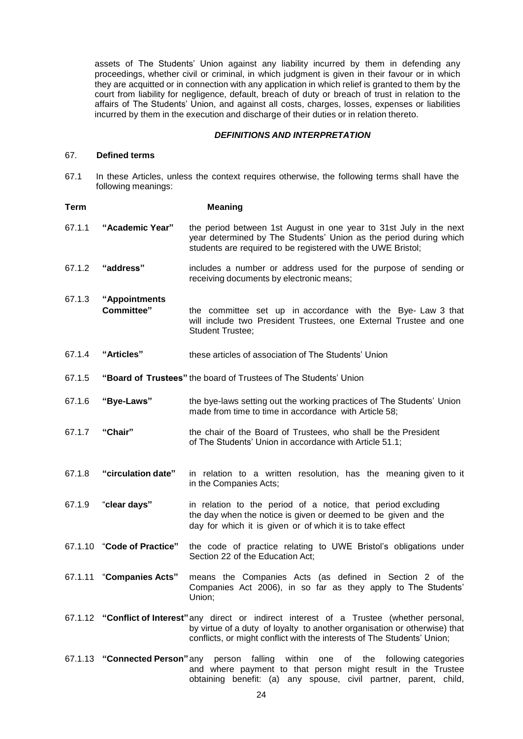assets of The Students' Union against any liability incurred by them in defending any proceedings, whether civil or criminal, in which judgment is given in their favour or in which they are acquitted or in connection with any application in which relief is granted to them by the court from liability for negligence, default, breach of duty or breach of trust in relation to the affairs of The Students' Union, and against all costs, charges, losses, expenses or liabilities incurred by them in the execution and discharge of their duties or in relation thereto.

## *DEFINITIONS AND INTERPRETATION*

#### 67. **Defined terms**

67.1 In these Articles, unless the context requires otherwise, the following terms shall have the following meanings:

| Term   |                                                                  | <b>Meaning</b>                                                                                                                                                                                                                                         |
|--------|------------------------------------------------------------------|--------------------------------------------------------------------------------------------------------------------------------------------------------------------------------------------------------------------------------------------------------|
| 67.1.1 | "Academic Year"                                                  | the period between 1st August in one year to 31st July in the next<br>year determined by The Students' Union as the period during which<br>students are required to be registered with the UWE Bristol;                                                |
| 67.1.2 | "address"                                                        | includes a number or address used for the purpose of sending or<br>receiving documents by electronic means;                                                                                                                                            |
| 67.1.3 | "Appointments<br><b>Committee"</b>                               | the committee set up in accordance with the Bye- Law 3 that<br>will include two President Trustees, one External Trustee and one<br><b>Student Trustee;</b>                                                                                            |
| 67.1.4 | "Articles"                                                       | these articles of association of The Students' Union                                                                                                                                                                                                   |
| 67.1.5 | "Board of Trustees" the board of Trustees of The Students' Union |                                                                                                                                                                                                                                                        |
| 67.1.6 | "Bye-Laws"                                                       | the bye-laws setting out the working practices of The Students' Union<br>made from time to time in accordance with Article 58;                                                                                                                         |
| 67.1.7 | "Chair"                                                          | the chair of the Board of Trustees, who shall be the President<br>of The Students' Union in accordance with Article 51.1;                                                                                                                              |
| 67.1.8 | "circulation date"                                               | in relation to a written resolution, has the meaning given to it<br>in the Companies Acts;                                                                                                                                                             |
| 67.1.9 | "clear days"                                                     | in relation to the period of a notice, that period excluding<br>the day when the notice is given or deemed to be given and the<br>day for which it is given or of which it is to take effect                                                           |
|        | 67.1.10 "Code of Practice"                                       | the code of practice relating to UWE Bristol's obligations under<br>Section 22 of the Education Act;                                                                                                                                                   |
|        | 67.1.11 "Companies Acts"                                         | means the Companies Acts (as defined in Section 2 of the<br>Companies Act 2006), in so far as they apply to The Students'<br>Union;                                                                                                                    |
|        |                                                                  | 67.1.12 "Conflict of Interest" any direct or indirect interest of a Trustee (whether personal,<br>by virtue of a duty of loyalty to another organisation or otherwise) that<br>conflicts, or might conflict with the interests of The Students' Union; |
|        |                                                                  | 67.1.13 "Connected Person" any person falling within one of the following categories<br>and where payment to that person might result in the Trustee<br>obtaining benefit: (a) any spouse, civil partner, parent, child,                               |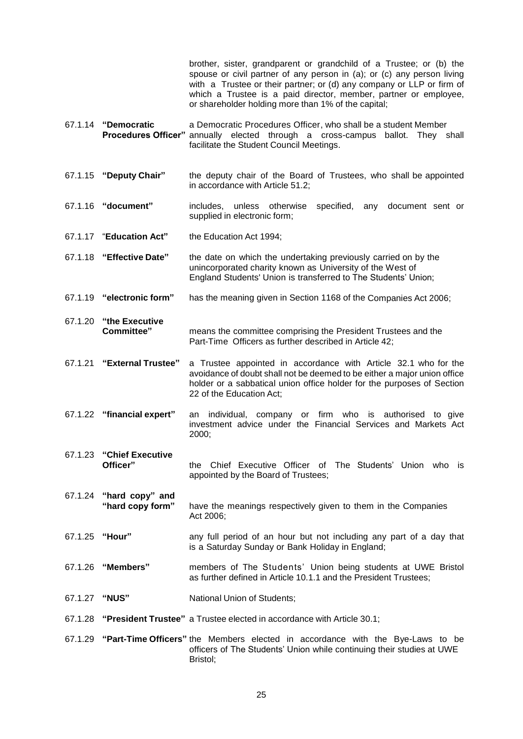brother, sister, grandparent or grandchild of a Trustee; or (b) the spouse or civil partner of any person in (a); or (c) any person living with a Trustee or their partner; or (d) any company or LLP or firm of which a Trustee is a paid director, member, partner or employee, or shareholder holding more than 1% of the capital;

- 67.1.14 **"Democratic** a Democratic Procedures Officer, who shall be a student Member annually elected through a cross-campus ballot. They shall facilitate the Student Council Meetings.
- 67.1.15 **"Deputy Chair"** the deputy chair of the Board of Trustees, who shall be appointed in accordance with Article 51.2;
- 67.1.16 **"document"** includes, unless otherwise specified, any document sent or supplied in electronic form;
- 67.1.17 "**Education Act"** the Education Act 1994;
- 67.1.18 **"Effective Date"** the date on which the undertaking previously carried on by the unincorporated charity known as University of the West of England Students' Union is transferred to The Students' Union;
- 67.1.19 **"electronic form"** has the meaning given in Section 1168 of the Companies Act 2006;
- 67.1.20 **"the Executive** means the committee comprising the President Trustees and the Part-Time Officers as further described in Article 42;
- 67.1.21 **"External Trustee"** a Trustee appointed in accordance with Article 32.1 who for the avoidance of doubt shall not be deemed to be either a major union office holder or a sabbatical union office holder for the purposes of Section 22 of the Education Act;
- 67.1.22 **"financial expert"** an individual, company or firm who is authorised to give investment advice under the Financial Services and Markets Act 2000;
- 67.1.23 **"Chief Executive Officer"** the Chief Executive Officer of The Students' Union who is appointed by the Board of Trustees;
- 67.1.24 **"hard copy" and "hard copy form"** have the meanings respectively given to them in the Companies Act 2006;
- 67.1.25 **"Hour"** any full period of an hour but not including any part of a day that is a Saturday Sunday or Bank Holiday in England;
- 67.1.26 **"Members"** members of The Students' Union being students at UWE Bristol as further defined in Article 10.1.1 and the President Trustees;
- 67.1.27 **"NUS"** National Union of Students;
- 67.1.28 **"President Trustee"** a Trustee elected in accordance with Article 30.1;
- 67.1.29 **"Part-Time Officers"** the Members elected in accordance with the Bye-Laws to be officers of The Students' Union while continuing their studies at UWE Bristol;